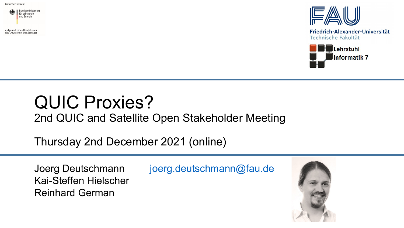Gefördert durch:



aufgrund eines Beschlusses des Deutschen Bundestages



Friedrich-Alexander-Universität **Technische Fakultät** 



## QUIC Proxies?

2nd QUIC and Satellite Open Stakeholder Meeting

Thursday 2nd December 2021 (online)

Kai-Steffen Hielscher Reinhard German

Joerg Deutschmann [joerg.deutschmann@fau.de](mailto:joerg.deutschmann@fau.de)

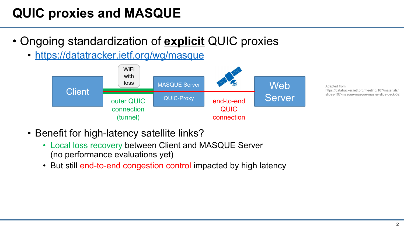## **QUIC proxies and MASQUE**

- Ongoing standardization of **explicit** QUIC proxies
	- <https://datatracker.ietf.org/wg/masque>



Adapted from https://datatracker.ietf.org/meeting/107/materials/ slides-107-masque-masque-master-slide-deck-02

- Benefit for high-latency satellite links?
	- Local loss recovery between Client and MASQUE Server (no performance evaluations yet)
	- But still end-to-end congestion control impacted by high latency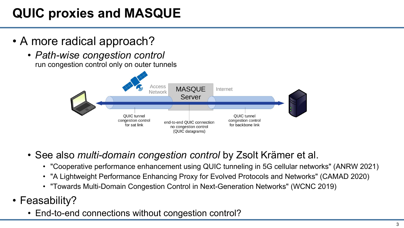## **QUIC proxies and MASQUE**

- A more radical approach?
	- *Path-wise congestion control* run congestion control only on outer tunnels



- See also *multi-domain congestion control* by Zsolt Krämer et al.
	- "Cooperative performance enhancement using QUIC tunneling in 5G cellular networks" (ANRW 2021)
	- "A Lightweight Performance Enhancing Proxy for Evolved Protocols and Networks" (CAMAD 2020)
	- "Towards Multi-Domain Congestion Control in Next-Generation Networks" (WCNC 2019)
- Feasability?
	- End-to-end connections without congestion control?